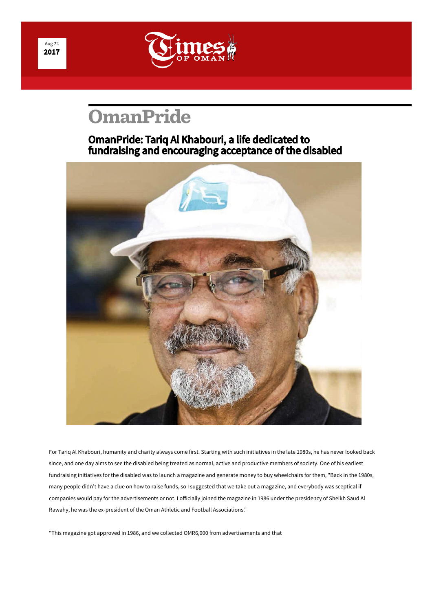

## **[OmanPride](http://timesofoman.com/morearticles/OmanPride)**

## OmanPride: Tariq Al Khabouri, a life dedicated to fundraising and encouraging acceptance of the disabled



For Tariq Al Kha[bouri](https://api.addthis.com/oexchange/0.8/forward/twitter/offer?url=http://timesofoman.com/article/113358&pubid=ra-54f6db27361f8eba&ct=1&title=%23OmanPride%3A+%23Tariq+Al+Khabouri%2C+a+life+dedicated+to+%23fundraising+and+encouraging+acceptance+of+the+%23disabled&pco=tbxnj-1.0), [humanity and charity always come first. Starting with such initiatives in the late 19](https://api.addthis.com/oexchange/0.8/forward/twitter/offer?url=http://timesofoman.com/article/113358&pubid=ra-54f6db27361f8eba&ct=1&title=%23OmanPride%3A+%23Tariq+Al+Khabouri%2C+a+life+dedicated+to+%23fundraising+and+encouraging+acceptance+of+the+%23disabled&pco=tbxnj-1.0)80s, he has never looked back since, and one day aims to see the disabled being treated as normal, active and productive members of society. One of his earliest fundraising initiatives for the disabled was to launch a magazine and generate money to buy wheelchairs for them, "Back in the 1980s, many people didn't have a clue on how to raise funds, so I suggested that we take out a magazine, and everybody was sceptical if companies would pay for the advertisements or not. I officially joined the magazine in 1986 under the presidency of Sheikh Saud Al Rawahy, he was the ex-president of the Oman Athletic and Football Associations."

"This magazine got approved in 1986, and we collected OMR6,000 from advertisements and that